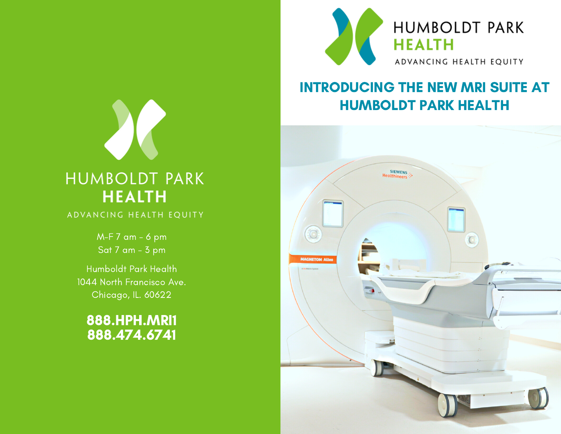

#### INTRODUCING THE NEW MRI SUITE AT HUMBOLDT PARK HEALTH





Humboldt Park Health 1044 North Francisco Ave. Chicago, IL. 60622

888.HPH.MRI1 888.474.6741